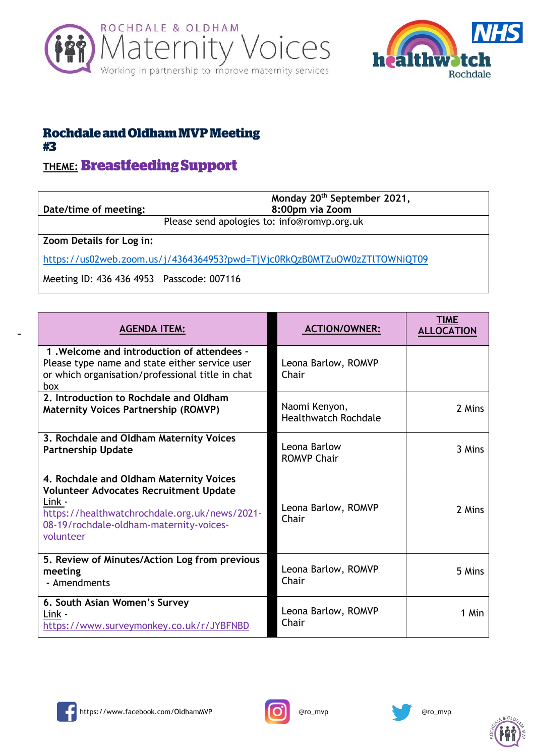



## **Rochdale and Oldham MVP Meeting** #3

## **THEME: Breastfeeding Support**

| Date/time of meeting: |                                             | Monday 20 <sup>th</sup> September 2021,<br>8:00pm via Zoom |
|-----------------------|---------------------------------------------|------------------------------------------------------------|
|                       | Please send apologies to: info@romvp.org.uk |                                                            |

**Zoom Details for Log in:**

<https://us02web.zoom.us/j/4364364953?pwd=TjVjc0RkQzB0MTZuOW0zZTlTOWNiQT09>

Meeting ID: 436 436 4953 Passcode: 007116

| <b>AGENDA ITEM:</b>                                                                                                                                                                                         | <b>ACTION/OWNER:</b>                         | <b>TIME</b><br><b>ALLOCATION</b> |
|-------------------------------------------------------------------------------------------------------------------------------------------------------------------------------------------------------------|----------------------------------------------|----------------------------------|
| 1. Welcome and introduction of attendees -<br>Please type name and state either service user<br>or which organisation/professional title in chat<br>box                                                     | Leona Barlow, ROMVP<br>Chair                 |                                  |
| 2. Introduction to Rochdale and Oldham<br><b>Maternity Voices Partnership (ROMVP)</b>                                                                                                                       | Naomi Kenyon,<br><b>Healthwatch Rochdale</b> | 2 Mins                           |
| 3. Rochdale and Oldham Maternity Voices<br><b>Partnership Update</b>                                                                                                                                        | Leona Barlow<br><b>ROMVP Chair</b>           | 3 Mins                           |
| 4. Rochdale and Oldham Maternity Voices<br><b>Volunteer Advocates Recruitment Update</b><br>Link -<br>https://healthwatchrochdale.org.uk/news/2021-<br>08-19/rochdale-oldham-maternity-voices-<br>volunteer | Leona Barlow, ROMVP<br>Chair                 | 2 Mins                           |
| 5. Review of Minutes/Action Log from previous<br>meeting<br>- Amendments                                                                                                                                    | Leona Barlow, ROMVP<br>Chair                 | 5 Mins                           |
| 6. South Asian Women's Survey<br>Link -<br>https://www.surveymonkey.co.uk/r/JYBFNBD                                                                                                                         | Leona Barlow, ROMVP<br>Chair                 | 1 Min                            |